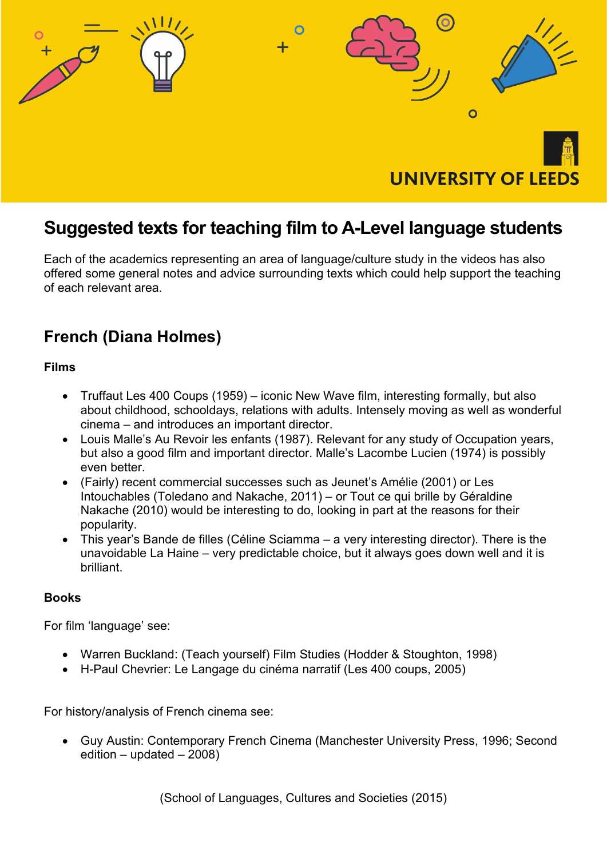

## Suggested texts for teaching film to A-Level language students

Each of the academics representing an area of language/culture study in the videos has also offered some general notes and advice surrounding texts which could help support the teaching of each relevant area.

### French (Diana Holmes)

Films

- Truffaut Les 400 Coups (1959) iconic New Wave film, interesting formally, but also about childhood, schooldays, relations with adults. Intensely moving as well as wonderful cinema – and introduces an important director.
- Louis Malle's Au Revoir les enfants (1987). Relevant for any study of Occupation years, but also a good film and important director. Malle's Lacombe Lucien (1974) is possibly even better.
- (Fairly) recent commercial successes such as Jeunet's Amélie (2001) or Les Intouchables (Toledano and Nakache, 2011) – or Tout ce qui brille by Géraldine Nakache (2010) would be interesting to do, looking in part at the reasons for their popularity.
- This year's Bande de filles (Céline Sciamma a very interesting director). There is the unavoidable La Haine – very predictable choice, but it always goes down well and it is brilliant.

#### Books

For film 'language' see:

- Warren Buckland: (Teach yourself) Film Studies (Hodder & Stoughton, 1998)
- H-Paul Chevrier: Le Langage du cinéma narratif (Les 400 coups, 2005)

For history/analysis of French cinema see:

 Guy Austin: Contemporary French Cinema (Manchester University Press, 1996; Second edition – updated – 2008)

(School of Languages, Cultures and Societies (2015)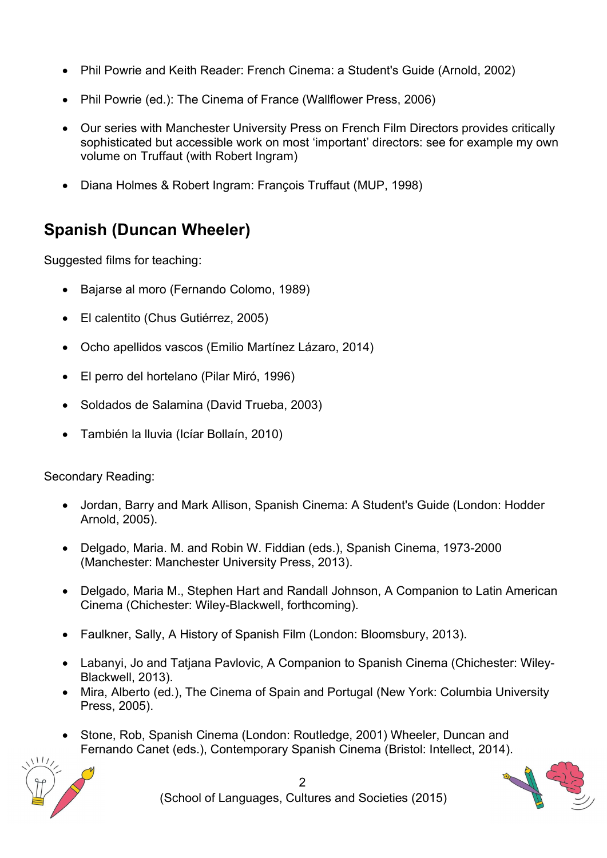- Phil Powrie and Keith Reader: French Cinema: a Student's Guide (Arnold, 2002)
- Phil Powrie (ed.): The Cinema of France (Wallflower Press, 2006)
- Our series with Manchester University Press on French Film Directors provides critically sophisticated but accessible work on most 'important' directors: see for example my own volume on Truffaut (with Robert Ingram)
- Diana Holmes & Robert Ingram: François Truffaut (MUP, 1998)

## Spanish (Duncan Wheeler)

Suggested films for teaching:

- Bajarse al moro (Fernando Colomo, 1989)
- El calentito (Chus Gutiérrez, 2005)
- Ocho apellidos vascos (Emilio Martínez Lázaro, 2014)
- El perro del hortelano (Pilar Miró, 1996)
- Soldados de Salamina (David Trueba, 2003)
- También la lluvia (Icíar Bollaín, 2010)

Secondary Reading:

- Jordan, Barry and Mark Allison, Spanish Cinema: A Student's Guide (London: Hodder Arnold, 2005).
- Delgado, Maria. M. and Robin W. Fiddian (eds.), Spanish Cinema, 1973-2000 (Manchester: Manchester University Press, 2013).
- Delgado, Maria M., Stephen Hart and Randall Johnson, A Companion to Latin American Cinema (Chichester: Wiley-Blackwell, forthcoming).
- Faulkner, Sally, A History of Spanish Film (London: Bloomsbury, 2013).
- Labanyi, Jo and Tatjana Pavlovic, A Companion to Spanish Cinema (Chichester: Wiley-Blackwell, 2013).
- Mira, Alberto (ed.), The Cinema of Spain and Portugal (New York: Columbia University Press, 2005).
- Stone, Rob, Spanish Cinema (London: Routledge, 2001) Wheeler, Duncan and Fernando Canet (eds.), Contemporary Spanish Cinema (Bristol: Intellect, 2014).